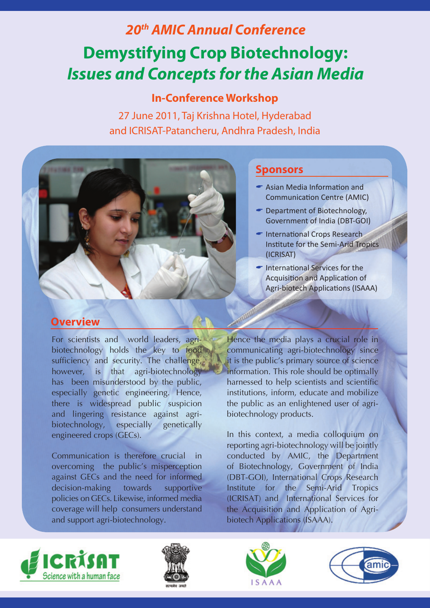# *20th AMIC Annual Conference* **Demystifying Crop Biotechnology:** *Issues and Concepts for the Asian Media*

## **In-Conference Workshop**

27 June 2011, Taj Krishna Hotel, Hyderabad and ICRISAT-Patancheru, Andhra Pradesh, India



## **Sponsors**

- $\blacktriangleright$  Asian Media Information and Communication Centre (AMIC)
- $\blacksquare$  Department of Biotechnology, Government of India (DBT-GOI)
- $\blacksquare$  International Crops Research Institute for the Semi-Arid Tropics (ICRISAT)
- International Services for the Acquisition and Application of Agri-biotech Applications (ISAAA)

#### **Overview**

For scientists and world leaders, agribiotechnology holds the key to food sufficiency and security. The challenge, however, is that agri-biotechnology has been misunderstood by the public, especially genetic engineering. Hence, there is widespread public suspicion and lingering resistance against agribiotechnology, especially genetically engineered crops (GECs).

Communication is therefore crucial in overcoming the public's misperception against GECs and the need for informed decision-making towards supportive policies on GECs. Likewise, informed media coverage will help consumers understand and support agri-biotechnology.

Hence the media plays a crucial role in communicating agri-biotechnology since it is the public's primary source of science information. This role should be optimally harnessed to help scientists and scientific institutions, inform, educate and mobilize the public as an enlightened user of agribiotechnology products.

In this context, a media colloquium on reporting agri-biotechnology will be jointly conducted by AMIC, the Department of Biotechnology, Government of India (DBT-GOI), International Crops Research Institute for the Semi-Arid Tropics (ICRISAT) and International Services for the Acquisition and Application of Agribiotech Applications (ISAAA).